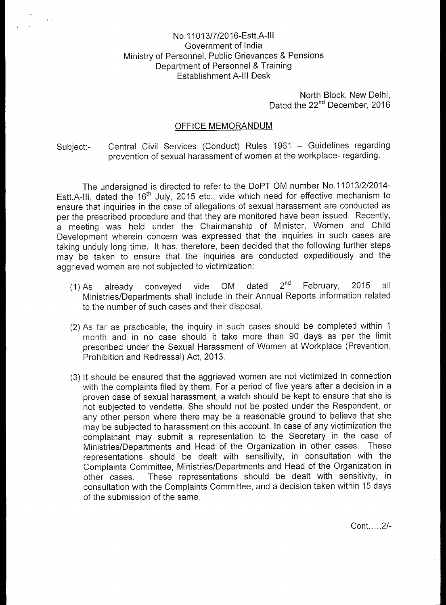## No.11013/7/2016-Estt.A-III Government of India Ministry of Personnel, Public Grievances & Pensions Department of Personnel & Training Establishment A-III Desk

 $\frac{1}{2}$  .

North Block, New Delhi, Dated the 22<sup>nd</sup> December, 2016

## OFFICE MEMORANDUM

Subject:- Central Civil Services (Conduct) Rules 1961 — Guidelines regarding prevention of sexual harassment of women at the workplace- regarding.

The undersigned is directed to refer to the DoPT OM number No.11013/2/2014- Estt.A-III, dated the 16<sup>th</sup> July, 2015 etc., vide which need for effective mechanism to ensure that inquiries in the case of allegations of sexual harassment are conducted as per the prescribed procedure and that they are monitored have been issued. Recently, a meeting was held under the Chairmanship of Minister, Women and Child Development wherein concern was expressed that the inquiries in such cases are taking unduly long time. It has, therefore, been decided that the following further steps may be taken to ensure that the inquiries are conducted expeditiously and the aggrieved women are not subjected to victimization:

- (1) As already conveyed vide OM dated 2<sup>nd</sup> February, 2015 all Ministries/Departments shall include in their Annual Reports information related to the number of such cases and their disposal.
- (2) As far as practicable, the inquiry in such cases should be completed within 1 month and in no case should it take more than 90 days as per the limit prescribed under the Sexual Harassment of Women at Workplace (Prevention, Prohibition and Redressal) Act, 2013.
- (3) It should be ensured that the aggrieved women are not victimized in connection with the complaints filed by them. For a period of five years after a decision in a proven case of sexual harassment, a watch should be kept to ensure that she is not subjected to vendetta. She should not be posted under the Respondent, or any other person where there may be a reasonable ground to believe that she may be subjected to harassment on this account. In case of any victimization the complainant may submit a representation to the Secretary in the case of Ministries/Departments and Head of the Organization in other cases. These representations should be dealt with sensitivity, in consultation with the Complaints Committee, Ministries/Departments and Head of the Organization in other cases. These representations should be dealt with sensitivity, in consultation with the Complaints Committee, and a decision taken within 15 days of the submission of the same.

 $Cont. \ldots. 2/-$